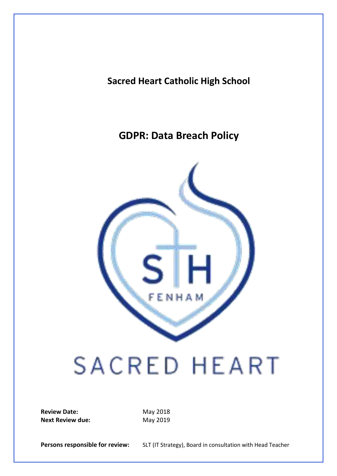### **Sacred Heart Catholic High School**

## **GDPR: Data Breach Policy**



# SACRED HEART

**Review Date:** May 2018 **Next Review due:** May 2019

**Persons responsible for review:** SLT (IT Strategy), Board in consultation with Head Teacher